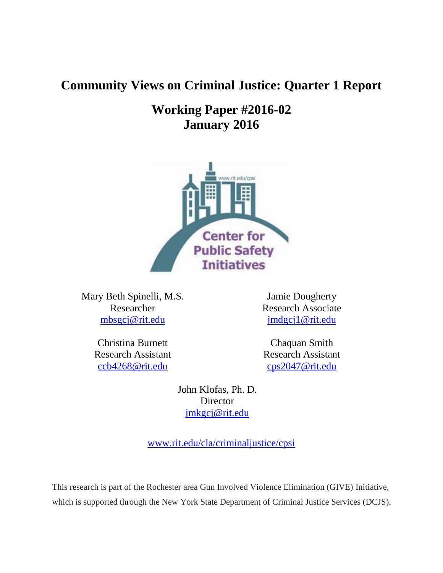# **Community Views on Criminal Justice: Quarter 1 Report**

# **Working Paper #2016-02 January 2016**



Mary Beth Spinelli, M.S. Researcher [mbsgcj@rit.edu](mailto:mbsgcj@rit.edu)

> Christina Burnett Research Assistant [ccb4268@rit.edu](mailto:ccb4268@rit.edu)

Jamie Dougherty Research Associate [jmdgcj1@rit.edu](mailto:jmdgcj1@rit.edu)

Chaquan Smith Research Assistant [cps2047@rit.edu](mailto:cps2047@rit.edu)

John Klofas, Ph. D. Director [jmkgcj@rit.edu](mailto:jmkgcj@rit.edu)

[www.rit.edu/cla/criminaljustice/cpsi](http://www.rit.edu/cla/criminaljustice/cpsi)

This research is part of the Rochester area Gun Involved Violence Elimination (GIVE) Initiative, which is supported through the New York State Department of Criminal Justice Services (DCJS).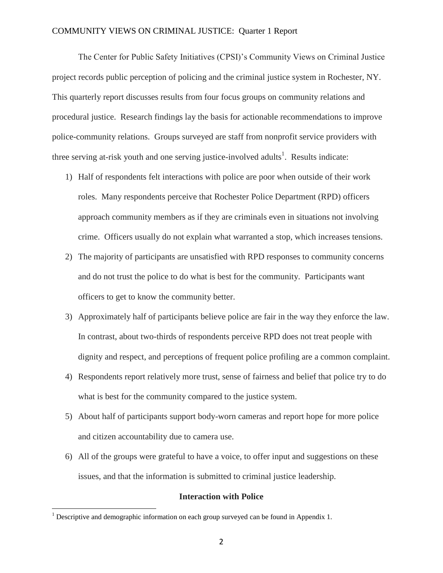The Center for Public Safety Initiatives (CPSI)'s Community Views on Criminal Justice project records public perception of policing and the criminal justice system in Rochester, NY. This quarterly report discusses results from four focus groups on community relations and procedural justice. Research findings lay the basis for actionable recommendations to improve police-community relations. Groups surveyed are staff from nonprofit service providers with three serving at-risk youth and one serving justice-involved adults<sup>1</sup>. Results indicate:

- 1) Half of respondents felt interactions with police are poor when outside of their work roles. Many respondents perceive that Rochester Police Department (RPD) officers approach community members as if they are criminals even in situations not involving crime. Officers usually do not explain what warranted a stop, which increases tensions.
- 2) The majority of participants are unsatisfied with RPD responses to community concerns and do not trust the police to do what is best for the community. Participants want officers to get to know the community better.
- 3) Approximately half of participants believe police are fair in the way they enforce the law. In contrast, about two-thirds of respondents perceive RPD does not treat people with dignity and respect, and perceptions of frequent police profiling are a common complaint.
- 4) Respondents report relatively more trust, sense of fairness and belief that police try to do what is best for the community compared to the justice system.
- 5) About half of participants support body-worn cameras and report hope for more police and citizen accountability due to camera use.
- 6) All of the groups were grateful to have a voice, to offer input and suggestions on these issues, and that the information is submitted to criminal justice leadership.

#### **Interaction with Police**

 $\overline{\phantom{a}}$ 

 $1$  Descriptive and demographic information on each group surveyed can be found in Appendix 1.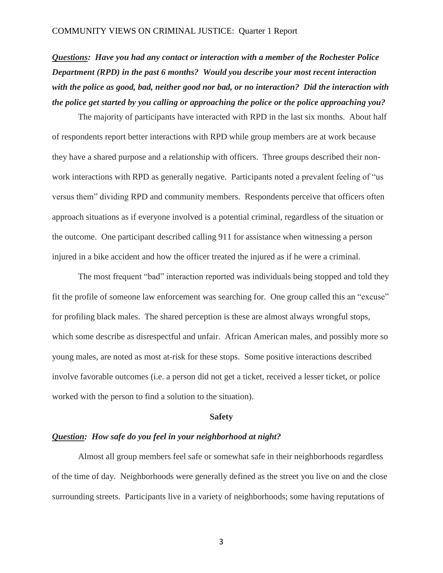*Questions: Have you had any contact or interaction with a member of the Rochester Police Department (RPD) in the past 6 months? Would you describe your most recent interaction with the police as good, bad, neither good nor bad, or no interaction? Did the interaction with the police get started by you calling or approaching the police or the police approaching you?* 

The majority of participants have interacted with RPD in the last six months. About half of respondents report better interactions with RPD while group members are at work because they have a shared purpose and a relationship with officers. Three groups described their nonwork interactions with RPD as generally negative. Participants noted a prevalent feeling of "us versus them" dividing RPD and community members. Respondents perceive that officers often approach situations as if everyone involved is a potential criminal, regardless of the situation or the outcome. One participant described calling 911 for assistance when witnessing a person injured in a bike accident and how the officer treated the injured as if he were a criminal.

The most frequent "bad" interaction reported was individuals being stopped and told they fit the profile of someone law enforcement was searching for. One group called this an "excuse" for profiling black males. The shared perception is these are almost always wrongful stops, which some describe as disrespectful and unfair. African American males, and possibly more so young males, are noted as most at-risk for these stops. Some positive interactions described involve favorable outcomes (i.e. a person did not get a ticket, received a lesser ticket, or police worked with the person to find a solution to the situation).

#### **Safety**

### *Question: How safe do you feel in your neighborhood at night?*

Almost all group members feel safe or somewhat safe in their neighborhoods regardless of the time of day. Neighborhoods were generally defined as the street you live on and the close surrounding streets. Participants live in a variety of neighborhoods; some having reputations of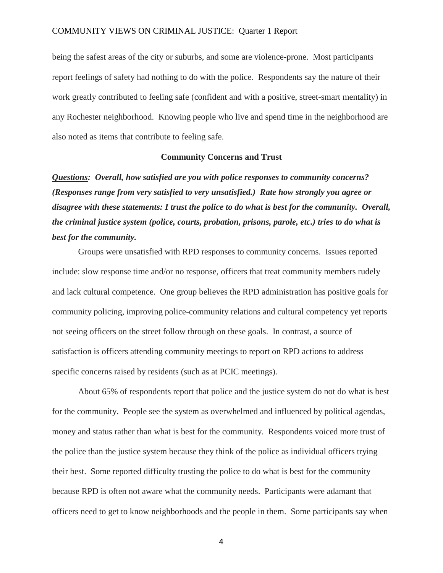being the safest areas of the city or suburbs, and some are violence-prone. Most participants report feelings of safety had nothing to do with the police. Respondents say the nature of their work greatly contributed to feeling safe (confident and with a positive, street-smart mentality) in any Rochester neighborhood. Knowing people who live and spend time in the neighborhood are also noted as items that contribute to feeling safe.

### **Community Concerns and Trust**

*Questions: Overall, how satisfied are you with police responses to community concerns? (Responses range from very satisfied to very unsatisfied.) Rate how strongly you agree or disagree with these statements: I trust the police to do what is best for the community. Overall, the criminal justice system (police, courts, probation, prisons, parole, etc.) tries to do what is best for the community.* 

Groups were unsatisfied with RPD responses to community concerns. Issues reported include: slow response time and/or no response, officers that treat community members rudely and lack cultural competence. One group believes the RPD administration has positive goals for community policing, improving police-community relations and cultural competency yet reports not seeing officers on the street follow through on these goals. In contrast, a source of satisfaction is officers attending community meetings to report on RPD actions to address specific concerns raised by residents (such as at PCIC meetings).

About 65% of respondents report that police and the justice system do not do what is best for the community. People see the system as overwhelmed and influenced by political agendas, money and status rather than what is best for the community. Respondents voiced more trust of the police than the justice system because they think of the police as individual officers trying their best. Some reported difficulty trusting the police to do what is best for the community because RPD is often not aware what the community needs. Participants were adamant that officers need to get to know neighborhoods and the people in them. Some participants say when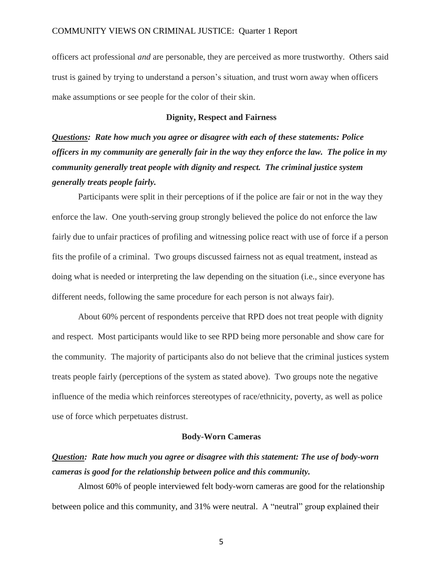officers act professional *and* are personable, they are perceived as more trustworthy. Others said trust is gained by trying to understand a person's situation, and trust worn away when officers make assumptions or see people for the color of their skin.

### **Dignity, Respect and Fairness**

*Questions: Rate how much you agree or disagree with each of these statements: Police officers in my community are generally fair in the way they enforce the law. The police in my community generally treat people with dignity and respect. The criminal justice system generally treats people fairly.*

Participants were split in their perceptions of if the police are fair or not in the way they enforce the law. One youth-serving group strongly believed the police do not enforce the law fairly due to unfair practices of profiling and witnessing police react with use of force if a person fits the profile of a criminal. Two groups discussed fairness not as equal treatment, instead as doing what is needed or interpreting the law depending on the situation (i.e., since everyone has different needs, following the same procedure for each person is not always fair).

About 60% percent of respondents perceive that RPD does not treat people with dignity and respect. Most participants would like to see RPD being more personable and show care for the community. The majority of participants also do not believe that the criminal justices system treats people fairly (perceptions of the system as stated above). Two groups note the negative influence of the media which reinforces stereotypes of race/ethnicity, poverty, as well as police use of force which perpetuates distrust.

### **Body-Worn Cameras**

# *Question: Rate how much you agree or disagree with this statement: The use of body-worn cameras is good for the relationship between police and this community.*

Almost 60% of people interviewed felt body-worn cameras are good for the relationship between police and this community, and 31% were neutral. A "neutral" group explained their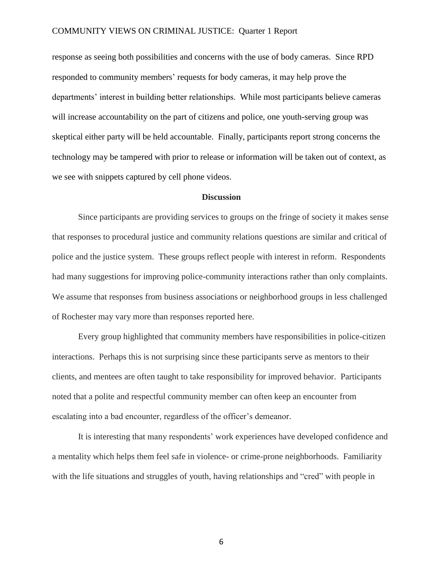response as seeing both possibilities and concerns with the use of body cameras. Since RPD responded to community members' requests for body cameras, it may help prove the departments' interest in building better relationships. While most participants believe cameras will increase accountability on the part of citizens and police, one youth-serving group was skeptical either party will be held accountable. Finally, participants report strong concerns the technology may be tampered with prior to release or information will be taken out of context, as we see with snippets captured by cell phone videos.

#### **Discussion**

Since participants are providing services to groups on the fringe of society it makes sense that responses to procedural justice and community relations questions are similar and critical of police and the justice system. These groups reflect people with interest in reform. Respondents had many suggestions for improving police-community interactions rather than only complaints. We assume that responses from business associations or neighborhood groups in less challenged of Rochester may vary more than responses reported here.

Every group highlighted that community members have responsibilities in police-citizen interactions. Perhaps this is not surprising since these participants serve as mentors to their clients, and mentees are often taught to take responsibility for improved behavior. Participants noted that a polite and respectful community member can often keep an encounter from escalating into a bad encounter, regardless of the officer's demeanor.

It is interesting that many respondents' work experiences have developed confidence and a mentality which helps them feel safe in violence- or crime-prone neighborhoods. Familiarity with the life situations and struggles of youth, having relationships and "cred" with people in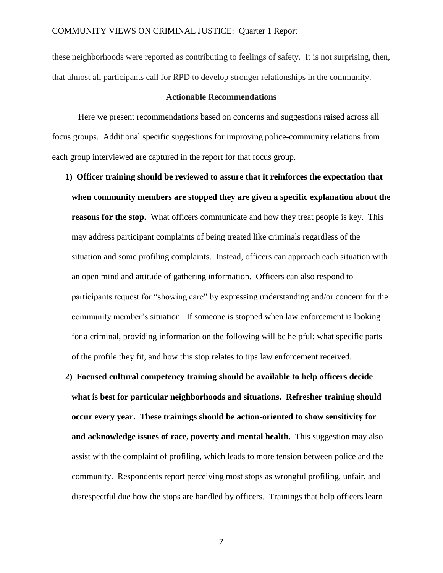these neighborhoods were reported as contributing to feelings of safety. It is not surprising, then, that almost all participants call for RPD to develop stronger relationships in the community.

### **Actionable Recommendations**

Here we present recommendations based on concerns and suggestions raised across all focus groups. Additional specific suggestions for improving police-community relations from each group interviewed are captured in the report for that focus group.

- **1) Officer training should be reviewed to assure that it reinforces the expectation that when community members are stopped they are given a specific explanation about the reasons for the stop.** What officers communicate and how they treat people is key. This may address participant complaints of being treated like criminals regardless of the situation and some profiling complaints. Instead, officers can approach each situation with an open mind and attitude of gathering information. Officers can also respond to participants request for "showing care" by expressing understanding and/or concern for the community member's situation. If someone is stopped when law enforcement is looking for a criminal, providing information on the following will be helpful: what specific parts of the profile they fit, and how this stop relates to tips law enforcement received.
- **2) Focused cultural competency training should be available to help officers decide what is best for particular neighborhoods and situations. Refresher training should occur every year. These trainings should be action-oriented to show sensitivity for and acknowledge issues of race, poverty and mental health.** This suggestion may also assist with the complaint of profiling, which leads to more tension between police and the community. Respondents report perceiving most stops as wrongful profiling, unfair, and disrespectful due how the stops are handled by officers. Trainings that help officers learn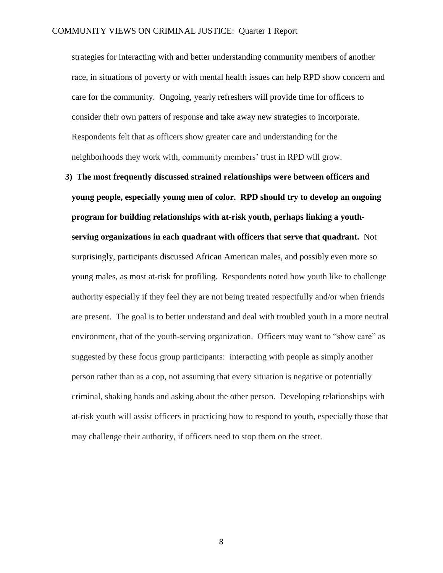strategies for interacting with and better understanding community members of another race, in situations of poverty or with mental health issues can help RPD show concern and care for the community. Ongoing, yearly refreshers will provide time for officers to consider their own patters of response and take away new strategies to incorporate. Respondents felt that as officers show greater care and understanding for the neighborhoods they work with, community members' trust in RPD will grow.

**3) The most frequently discussed strained relationships were between officers and young people, especially young men of color. RPD should try to develop an ongoing program for building relationships with at-risk youth, perhaps linking a youthserving organizations in each quadrant with officers that serve that quadrant.** Not surprisingly, participants discussed African American males, and possibly even more so young males, as most at-risk for profiling. Respondents noted how youth like to challenge authority especially if they feel they are not being treated respectfully and/or when friends are present. The goal is to better understand and deal with troubled youth in a more neutral environment, that of the youth-serving organization. Officers may want to "show care" as suggested by these focus group participants: interacting with people as simply another person rather than as a cop, not assuming that every situation is negative or potentially criminal, shaking hands and asking about the other person. Developing relationships with at-risk youth will assist officers in practicing how to respond to youth, especially those that may challenge their authority, if officers need to stop them on the street.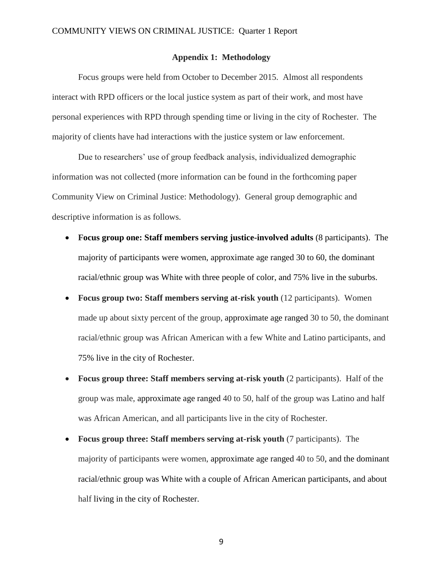### **Appendix 1: Methodology**

Focus groups were held from October to December 2015. Almost all respondents interact with RPD officers or the local justice system as part of their work, and most have personal experiences with RPD through spending time or living in the city of Rochester. The majority of clients have had interactions with the justice system or law enforcement.

Due to researchers' use of group feedback analysis, individualized demographic information was not collected (more information can be found in the forthcoming paper Community View on Criminal Justice: Methodology). General group demographic and descriptive information is as follows.

- **Focus group one: Staff members serving justice-involved adults** (8 participants). The majority of participants were women, approximate age ranged 30 to 60, the dominant racial/ethnic group was White with three people of color, and 75% live in the suburbs.
- **Focus group two: Staff members serving at-risk youth** (12 participants).Women made up about sixty percent of the group, approximate age ranged 30 to 50, the dominant racial/ethnic group was African American with a few White and Latino participants, and 75% live in the city of Rochester.
- Focus group three: Staff members serving at-risk youth (2 participants). Half of the group was male, approximate age ranged 40 to 50, half of the group was Latino and half was African American, and all participants live in the city of Rochester.
- **Focus group three: Staff members serving at-risk youth** (7 participants).The majority of participants were women, approximate age ranged 40 to 50, and the dominant racial/ethnic group was White with a couple of African American participants, and about half living in the city of Rochester.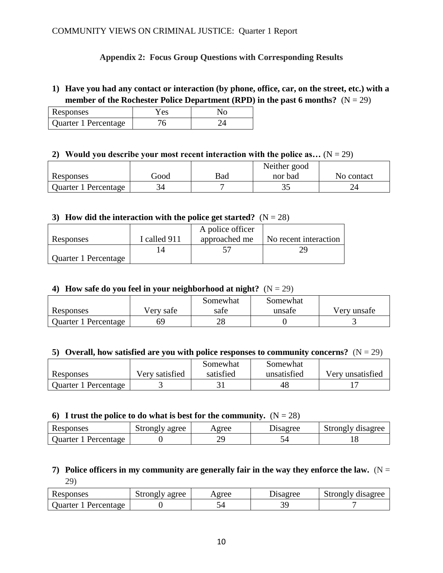### **Appendix 2: Focus Group Questions with Corresponding Results**

### **1) Have you had any contact or interaction (by phone, office, car, on the street, etc.) with a member of the Rochester Police Department (RPD) in the past 6 months?**  $(N = 29)$

| Responses            | Y es | Nο |
|----------------------|------|----|
| Quarter 1 Percentage |      |    |

### **2)** Would you describe your most recent interaction with the police as...  $(N = 29)$

|                      |      |     | Neither good |            |
|----------------------|------|-----|--------------|------------|
| Responses            | boot | Bad | nor bad      | No contact |
| Quarter 1 Percentage | つん   |     | ں ر          | ∠⊣         |

### **3) How did the interaction with the police get started?**  $(N = 28)$

|                      |              | A police officer |                       |
|----------------------|--------------|------------------|-----------------------|
| Responses            | I called 911 | approached me    | No recent interaction |
|                      |              |                  |                       |
| Quarter 1 Percentage |              |                  |                       |

### **4) How safe do you feel in your neighborhood at night?**  $(N = 29)$

|                      |           | Somewhat | Somewhat |             |
|----------------------|-----------|----------|----------|-------------|
| Responses            | Very safe | safe     | unsafe   | Verv unsafe |
| Quarter 1 Percentage | 69        | າດ<br>∠o |          |             |

### **5) Overall, how satisfied are you with police responses to community concerns?**  $(N = 29)$

|                      |                | Somewhat  | Somewhat    |                  |
|----------------------|----------------|-----------|-------------|------------------|
| Responses            | Very satisfied | satisfied | unsatisfied | Very unsatisfied |
| Quarter 1 Percentage |                |           | 48          |                  |

### **6) I** trust the police to do what is best for the community.  $(N = 28)$

| Responses             | agree<br>$\cup$ trongly $\cap$ | Agree | Disagree | disagree<br>strongly |
|-----------------------|--------------------------------|-------|----------|----------------------|
| Percentage<br>Juarter |                                |       |          |                      |

### **7)** Police officers in my community are generally fair in the way they enforce the law.  $(N =$ 29)

| Responses                    | Strongly agree | Agree | Disagree | Strongly disagree |
|------------------------------|----------------|-------|----------|-------------------|
| <b>Juarter</b><br>Percentage |                |       |          |                   |